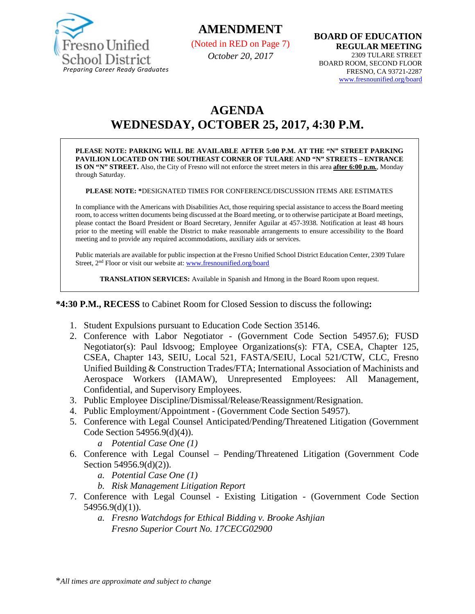

# **AMENDMENT**

(Noted in RED on Page 7)

*October 20, 2017*

**BOARD OF EDUCATION REGULAR MEETING** 2309 TULARE STREET BOARD ROOM, SECOND FLOOR FRESNO, CA 93721-2287 [www.fresnounified.org/board](http://www.fresnounified.org/board)

# **AGENDA WEDNESDAY, OCTOBER 25, 2017, 4:30 P.M.**

**PLEASE NOTE: PARKING WILL BE AVAILABLE AFTER 5:00 P.M. AT THE "N" STREET PARKING PAVILION LOCATED ON THE SOUTHEAST CORNER OF TULARE AND "N" STREETS – ENTRANCE IS ON "N" STREET.** Also, the City of Fresno will not enforce the street meters in this area **after 6:00 p.m.**, Monday through Saturday.

**PLEASE NOTE: \***DESIGNATED TIMES FOR CONFERENCE/DISCUSSION ITEMS ARE ESTIMATES

In compliance with the Americans with Disabilities Act, those requiring special assistance to access the Board meeting room, to access written documents being discussed at the Board meeting, or to otherwise participate at Board meetings, please contact the Board President or Board Secretary, Jennifer Aguilar at 457-3938. Notification at least 48 hours prior to the meeting will enable the District to make reasonable arrangements to ensure accessibility to the Board meeting and to provide any required accommodations, auxiliary aids or services.

Public materials are available for public inspection at the Fresno Unified School District Education Center, 2309 Tulare Street, 2<sup>nd</sup> Floor or visit our website at: [www.fresnounified.org/board](http://www.fresnounified.org/board)

**TRANSLATION SERVICES:** Available in Spanish and Hmong in the Board Room upon request.

**\*4:30 P.M., RECESS** to Cabinet Room for Closed Session to discuss the following**:**

- 1. Student Expulsions pursuant to Education Code Section 35146.
- 2. Conference with Labor Negotiator (Government Code Section 54957.6); FUSD Negotiator(s): Paul Idsvoog; Employee Organizations(s): FTA, CSEA, Chapter 125, CSEA, Chapter 143, SEIU, Local 521, FASTA/SEIU, Local 521/CTW, CLC, Fresno Unified Building & Construction Trades/FTA; International Association of Machinists and Aerospace Workers (IAMAW), Unrepresented Employees: All Management, Confidential, and Supervisory Employees.
- 3. Public Employee Discipline/Dismissal/Release/Reassignment/Resignation.
- 4. Public Employment/Appointment (Government Code Section 54957).
- 5. Conference with Legal Counsel Anticipated/Pending/Threatened Litigation (Government Code Section 54956.9(d)(4)).
	- *a Potential Case One (1)*
- 6. Conference with Legal Counsel Pending/Threatened Litigation (Government Code Section 54956.9(d)(2)).
	- *a. Potential Case One (1)*
	- *b. Risk Management Litigation Report*
- 7. Conference with Legal Counsel Existing Litigation (Government Code Section 54956.9(d)(1)).
	- *a. Fresno Watchdogs for Ethical Bidding v. Brooke Ashjian Fresno Superior Court No. 17CECG02900*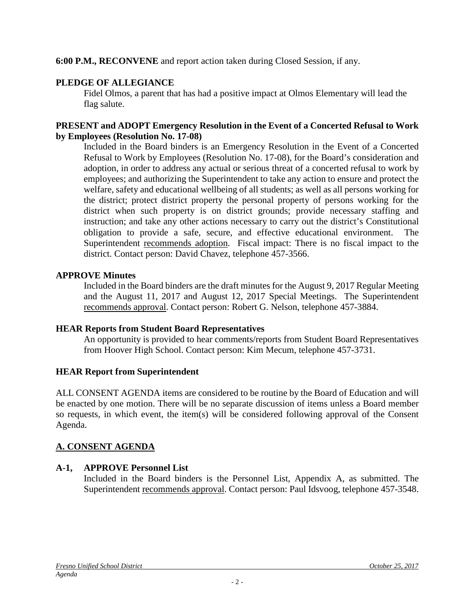**6:00 P.M., RECONVENE** and report action taken during Closed Session, if any.

## **PLEDGE OF ALLEGIANCE**

Fidel Olmos, a parent that has had a positive impact at Olmos Elementary will lead the flag salute.

#### **PRESENT and ADOPT Emergency Resolution in the Event of a Concerted Refusal to Work by Employees (Resolution No. 17-08)**

Included in the Board binders is an Emergency Resolution in the Event of a Concerted Refusal to Work by Employees (Resolution No. 17-08), for the Board's consideration and adoption, in order to address any actual or serious threat of a concerted refusal to work by employees; and authorizing the Superintendent to take any action to ensure and protect the welfare, safety and educational wellbeing of all students; as well as all persons working for the district; protect district property the personal property of persons working for the district when such property is on district grounds; provide necessary staffing and instruction; and take any other actions necessary to carry out the district's Constitutional obligation to provide a safe, secure, and effective educational environment. The Superintendent recommends adoption. Fiscal impact: There is no fiscal impact to the district. Contact person: David Chavez, telephone 457-3566.

## **APPROVE Minutes**

Included in the Board binders are the draft minutes for the August 9, 2017 Regular Meeting and the August 11, 2017 and August 12, 2017 Special Meetings. The Superintendent recommends approval. Contact person: Robert G. Nelson, telephone 457-3884.

## **HEAR Reports from Student Board Representatives**

An opportunity is provided to hear comments/reports from Student Board Representatives from Hoover High School. Contact person: Kim Mecum, telephone 457-3731.

# **HEAR Report from Superintendent**

ALL CONSENT AGENDA items are considered to be routine by the Board of Education and will be enacted by one motion. There will be no separate discussion of items unless a Board member so requests, in which event, the item(s) will be considered following approval of the Consent Agenda.

# **A. CONSENT AGENDA**

# **A-1, APPROVE Personnel List**

Included in the Board binders is the Personnel List, Appendix A, as submitted. The Superintendent recommends approval. Contact person: Paul Idsvoog, telephone 457-3548.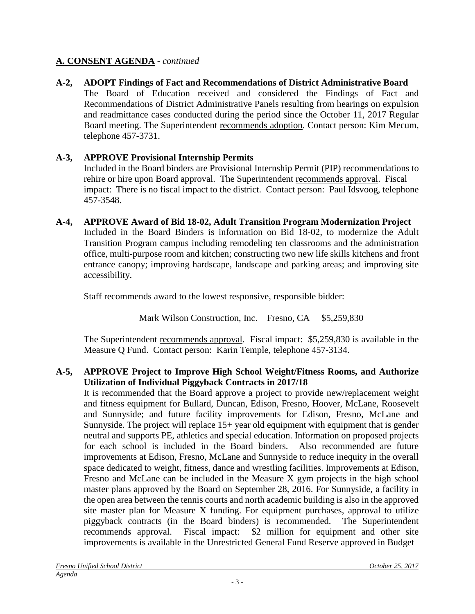## **A. CONSENT AGENDA** - *continued*

**A-2, ADOPT Findings of Fact and Recommendations of District Administrative Board** The Board of Education received and considered the Findings of Fact and Recommendations of District Administrative Panels resulting from hearings on expulsion and readmittance cases conducted during the period since the October 11, 2017 Regular Board meeting. The Superintendent recommends adoption. Contact person: Kim Mecum, telephone 457-3731.

# **A-3, APPROVE Provisional Internship Permits**

Included in the Board binders are Provisional Internship Permit (PIP) recommendations to rehire or hire upon Board approval. The Superintendent recommends approval. Fiscal impact: There is no fiscal impact to the district. Contact person: Paul Idsvoog, telephone 457-3548.

**A-4, APPROVE Award of Bid 18-02, Adult Transition Program Modernization Project** Included in the Board Binders is information on Bid 18-02, to modernize the Adult Transition Program campus including remodeling ten classrooms and the administration office, multi-purpose room and kitchen; constructing two new life skills kitchens and front entrance canopy; improving hardscape, landscape and parking areas; and improving site accessibility.

Staff recommends award to the lowest responsive, responsible bidder:

Mark Wilson Construction, Inc. Fresno, CA \$5,259,830

The Superintendent recommends approval. Fiscal impact: \$5,259,830 is available in the Measure Q Fund. Contact person: Karin Temple, telephone 457-3134.

## **A-5, APPROVE Project to Improve High School Weight/Fitness Rooms, and Authorize Utilization of Individual Piggyback Contracts in 2017/18**

It is recommended that the Board approve a project to provide new/replacement weight and fitness equipment for Bullard, Duncan, Edison, Fresno, Hoover, McLane, Roosevelt and Sunnyside; and future facility improvements for Edison, Fresno, McLane and Sunnyside. The project will replace 15+ year old equipment with equipment that is gender neutral and supports PE, athletics and special education. Information on proposed projects for each school is included in the Board binders. Also recommended are future improvements at Edison, Fresno, McLane and Sunnyside to reduce inequity in the overall space dedicated to weight, fitness, dance and wrestling facilities. Improvements at Edison, Fresno and McLane can be included in the Measure X gym projects in the high school master plans approved by the Board on September 28, 2016. For Sunnyside, a facility in the open area between the tennis courts and north academic building is also in the approved site master plan for Measure X funding. For equipment purchases, approval to utilize piggyback contracts (in the Board binders) is recommended. The Superintendent recommends approval. Fiscal impact: \$2 million for equipment and other site improvements is available in the Unrestricted General Fund Reserve approved in Budget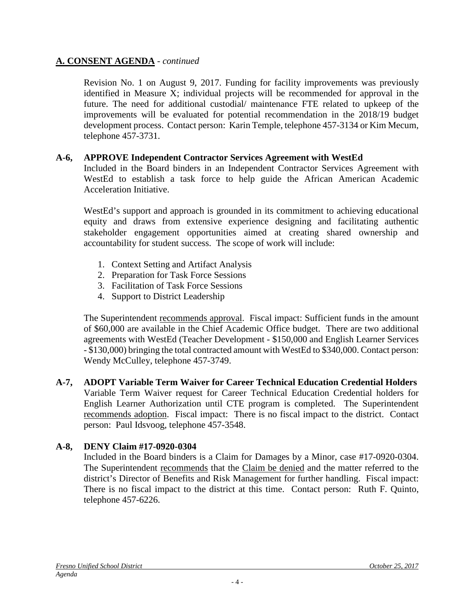#### **A. CONSENT AGENDA** - *continued*

Revision No. 1 on August 9, 2017. Funding for facility improvements was previously identified in Measure X; individual projects will be recommended for approval in the future. The need for additional custodial/ maintenance FTE related to upkeep of the improvements will be evaluated for potential recommendation in the 2018/19 budget development process. Contact person: Karin Temple, telephone 457-3134 or Kim Mecum, telephone 457-3731.

#### **A-6, APPROVE Independent Contractor Services Agreement with WestEd**

Included in the Board binders in an Independent Contractor Services Agreement with WestEd to establish a task force to help guide the African American Academic Acceleration Initiative.

WestEd's support and approach is grounded in its commitment to achieving educational equity and draws from extensive experience designing and facilitating authentic stakeholder engagement opportunities aimed at creating shared ownership and accountability for student success. The scope of work will include:

- 1. Context Setting and Artifact Analysis
- 2. Preparation for Task Force Sessions
- 3. Facilitation of Task Force Sessions
- 4. Support to District Leadership

The Superintendent recommends approval. Fiscal impact: Sufficient funds in the amount of \$60,000 are available in the Chief Academic Office budget. There are two additional agreements with WestEd (Teacher Development - \$150,000 and English Learner Services - \$130,000) bringing the total contracted amount with WestEd to \$340,000. Contact person: Wendy McCulley, telephone 457-3749.

**A-7, ADOPT Variable Term Waiver for Career Technical Education Credential Holders** Variable Term Waiver request for Career Technical Education Credential holders for English Learner Authorization until CTE program is completed. The Superintendent recommends adoption. Fiscal impact: There is no fiscal impact to the district. Contact person: Paul Idsvoog, telephone 457-3548.

## **A-8, DENY Claim #17-0920-0304**

Included in the Board binders is a Claim for Damages by a Minor, case #17-0920-0304. The Superintendent recommends that the Claim be denied and the matter referred to the district's Director of Benefits and Risk Management for further handling. Fiscal impact: There is no fiscal impact to the district at this time. Contact person: Ruth F. Quinto, telephone 457-6226.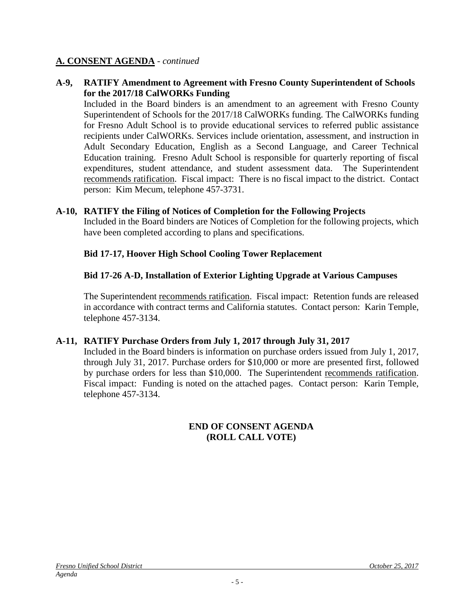#### **A. CONSENT AGENDA** - *continued*

#### **A-9, RATIFY Amendment to Agreement with Fresno County Superintendent of Schools for the 2017/18 CalWORKs Funding**

Included in the Board binders is an amendment to an agreement with Fresno County Superintendent of Schools for the 2017/18 CalWORKs funding. The CalWORKs funding for Fresno Adult School is to provide educational services to referred public assistance recipients under CalWORKs. Services include orientation, assessment, and instruction in Adult Secondary Education, English as a Second Language, and Career Technical Education training. Fresno Adult School is responsible for quarterly reporting of fiscal expenditures, student attendance, and student assessment data. The Superintendent recommends ratification. Fiscal impact: There is no fiscal impact to the district. Contact person: Kim Mecum, telephone 457-3731.

#### **A-10, RATIFY the Filing of Notices of Completion for the Following Projects**

Included in the Board binders are Notices of Completion for the following projects, which have been completed according to plans and specifications.

#### **Bid 17-17, Hoover High School Cooling Tower Replacement**

## **Bid 17-26 A-D, Installation of Exterior Lighting Upgrade at Various Campuses**

The Superintendent recommends ratification. Fiscal impact: Retention funds are released in accordance with contract terms and California statutes. Contact person: Karin Temple, telephone 457-3134.

#### **A-11, RATIFY Purchase Orders from July 1, 2017 through July 31, 2017**

Included in the Board binders is information on purchase orders issued from July 1, 2017, through July 31, 2017. Purchase orders for \$10,000 or more are presented first, followed by purchase orders for less than \$10,000. The Superintendent recommends ratification. Fiscal impact: Funding is noted on the attached pages. Contact person: Karin Temple, telephone 457-3134.

#### **END OF CONSENT AGENDA (ROLL CALL VOTE)**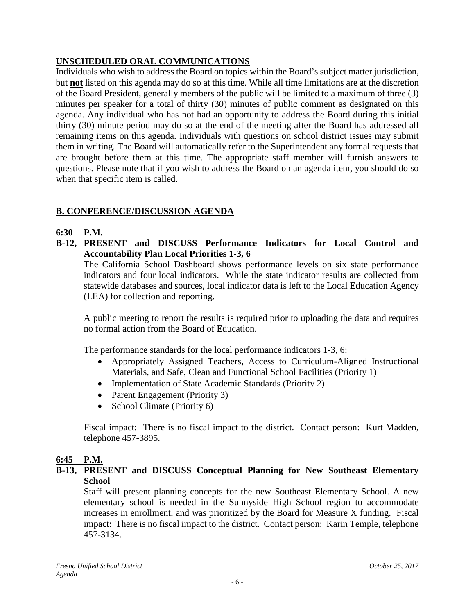# **UNSCHEDULED ORAL COMMUNICATIONS**

Individuals who wish to address the Board on topics within the Board's subject matter jurisdiction, but **not** listed on this agenda may do so at this time. While all time limitations are at the discretion of the Board President, generally members of the public will be limited to a maximum of three (3) minutes per speaker for a total of thirty (30) minutes of public comment as designated on this agenda. Any individual who has not had an opportunity to address the Board during this initial thirty (30) minute period may do so at the end of the meeting after the Board has addressed all remaining items on this agenda. Individuals with questions on school district issues may submit them in writing. The Board will automatically refer to the Superintendent any formal requests that are brought before them at this time. The appropriate staff member will furnish answers to questions. Please note that if you wish to address the Board on an agenda item, you should do so when that specific item is called.

## **B. CONFERENCE/DISCUSSION AGENDA**

## **6:30 P.M.**

**B-12, PRESENT and DISCUSS Performance Indicators for Local Control and Accountability Plan Local Priorities 1-3, 6**

The California School Dashboard shows performance levels on six state performance indicators and four local indicators. While the state indicator results are collected from statewide databases and sources, local indicator data is left to the Local Education Agency (LEA) for collection and reporting.

A public meeting to report the results is required prior to uploading the data and requires no formal action from the Board of Education.

The performance standards for the local performance indicators 1-3, 6:

- Appropriately Assigned Teachers, Access to Curriculum-Aligned Instructional Materials, and Safe, Clean and Functional School Facilities (Priority 1)
- Implementation of State Academic Standards (Priority 2)
- Parent Engagement (Priority 3)
- School Climate (Priority 6)

Fiscal impact: There is no fiscal impact to the district. Contact person: Kurt Madden, telephone 457-3895.

## **6:45 P.M.**

#### **B-13, PRESENT and DISCUSS Conceptual Planning for New Southeast Elementary School**

Staff will present planning concepts for the new Southeast Elementary School. A new elementary school is needed in the Sunnyside High School region to accommodate increases in enrollment, and was prioritized by the Board for Measure X funding. Fiscal impact: There is no fiscal impact to the district. Contact person: Karin Temple, telephone 457-3134.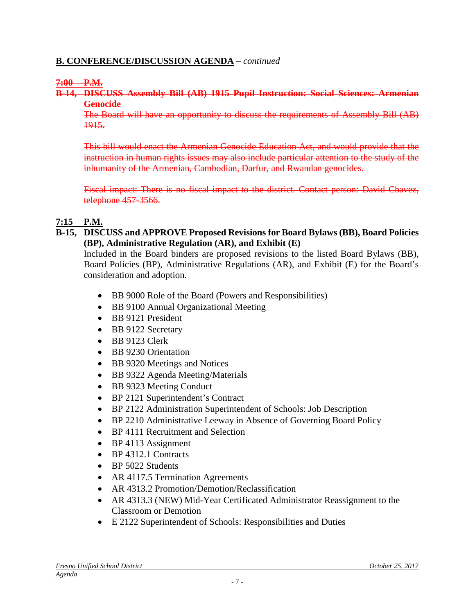#### **B. CONFERENCE/DISCUSSION AGENDA** – *continued*

#### **7:00 P.M.**

**B-14, DISCUSS Assembly Bill (AB) 1915 Pupil Instruction: Social Sciences: Armenian Genocide**

The Board will have an opportunity to discuss the requirements of Assembly Bill (AB) 1915.

This bill would enact the Armenian Genocide Education Act, and would provide that the instruction in human rights issues may also include particular attention to the study of the inhumanity of the Armenian, Cambodian, Darfur, and Rwandan genocides.

Fiscal impact: There is no fiscal impact to the district. Contact person: David Chavez, telephone 457-3566.

#### **7:15 P.M.**

#### **B-15, DISCUSS and APPROVE Proposed Revisions for Board Bylaws (BB), Board Policies (BP), Administrative Regulation (AR), and Exhibit (E)**

Included in the Board binders are proposed revisions to the listed Board Bylaws (BB), Board Policies (BP), Administrative Regulations (AR), and Exhibit (E) for the Board's consideration and adoption.

- BB 9000 Role of the Board (Powers and Responsibilities)
- BB 9100 Annual Organizational Meeting
- BB 9121 President
- BB 9122 Secretary
- BB 9123 Clerk
- BB 9230 Orientation
- BB 9320 Meetings and Notices
- BB 9322 Agenda Meeting/Materials
- BB 9323 Meeting Conduct
- BP 2121 Superintendent's Contract
- BP 2122 Administration Superintendent of Schools: Job Description
- BP 2210 Administrative Leeway in Absence of Governing Board Policy
- BP 4111 Recruitment and Selection
- BP 4113 Assignment
- BP 4312.1 Contracts
- BP 5022 Students
- AR 4117.5 Termination Agreements
- AR 4313.2 Promotion/Demotion/Reclassification
- AR 4313.3 (NEW) Mid-Year Certificated Administrator Reassignment to the Classroom or Demotion
- E 2122 Superintendent of Schools: Responsibilities and Duties